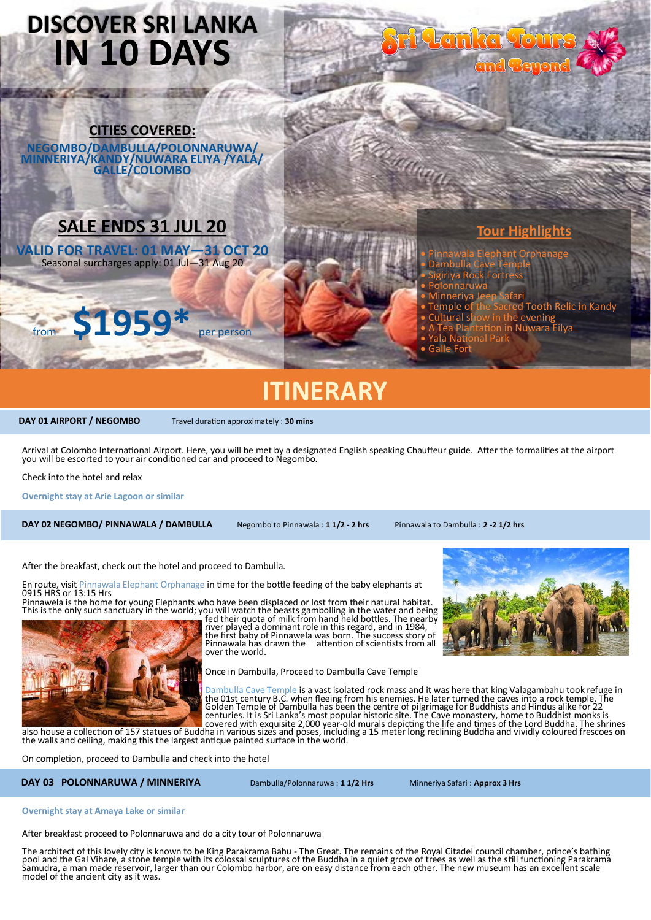## **DISCOVER SRI LANKA IN 10 DAYS**

**CITIES COVERED: NEGOMBO/DAMBULLA/POLONNARUWA/ MINNERIYA/KANDY/NUWARA ELIYA /YALA/ GALLE/COLOMBO**

### **SALE ENDS 31 JUL 20**

**VALID FOR TRAVEL: 01 MAY—31 OCT 20** Seasonal surcharges apply: 01 Jul-31 Aug 20



### **Tour Highlights**

- Pinnawala Elephant Orphanage
- Dambulla Cave Temple

it tau ka touk

- Sigiriya Rock Fortress • Polonnaruwa
- Minneriya Jeep Safari
- emple of the Sacred Tooth Relic in Kandy
- Cultural show in the evening
- A Tea Plantation in Nuwara Eilya
- ala Nat
- **Galle For**

ia argu

## **ITINERARY**

**DAY 01 AIRPORT / NEGOMBO** Travel duration approximately : 30 mins

Arrival at Colombo International Airport. Here, you will be met by a designated English speaking Chauffeur guide. After the formalities at the airport you will be escorted to your air conditioned car and proceed to Negombo.

Check into the hotel and relax

**Overnight stay at Arie Lagoon or similar**

 **DAY 02 NEGOMBO/ PINNAWALA / DAMBULLA** Negombo to Pinnawala : **1 1/2 - 2 hrs** Pinnawala to Dambulla : **2 -2 1/2 hrs**

After the breakfast, check out the hotel and proceed to Dambulla.

En route, visit Pinnawala Elephant Orphanage in time for the bottle feeding of the baby elephants at 0915 HRS or 13:15 Hrs

Pinnawela is the home for young Elephants who have been displaced or lost from their natural habitat.<br>This is the only such sanctuary in the world; you will watch the beasts gambolling in the water and being<br>fed their quot

river played a dominant role in this regard, and in 1984, the first baby of Pinnawela was born. The success story of Pinnawala has drawn the attention of scientists from all over the world.

Once in Dambulla, Proceed to Dambulla Cave Temple

**A Particular Dambulla** Cave Temple is a vast isolated rock mass and it was here that king Valagambahu took refuge in<br>the 01st century B.C. when fleeing from his enemies. He later turned the caves into a rock temple. The<br>G

On completion, proceed to Dambulla and check into the hotel

DAY 03 POLONNARUWA / MINNERIYA Dambulla/Polonnaruwa : 11/2 Hrs Minneriya Safari : Approx 3 Hrs

**Overnight stay at Amaya Lake or similar**

After breakfast proceed to Polonnaruwa and do a city tour of Polonnaruwa

The architect of this lovely city is known to be King Parakrama Bahu - The Great. The remains of the Royal Citadel council chamber, prince's bathing<br>pool and the Gal Vihare, a stone temple with its colossal sculptures of t model of the ancient city as it was.



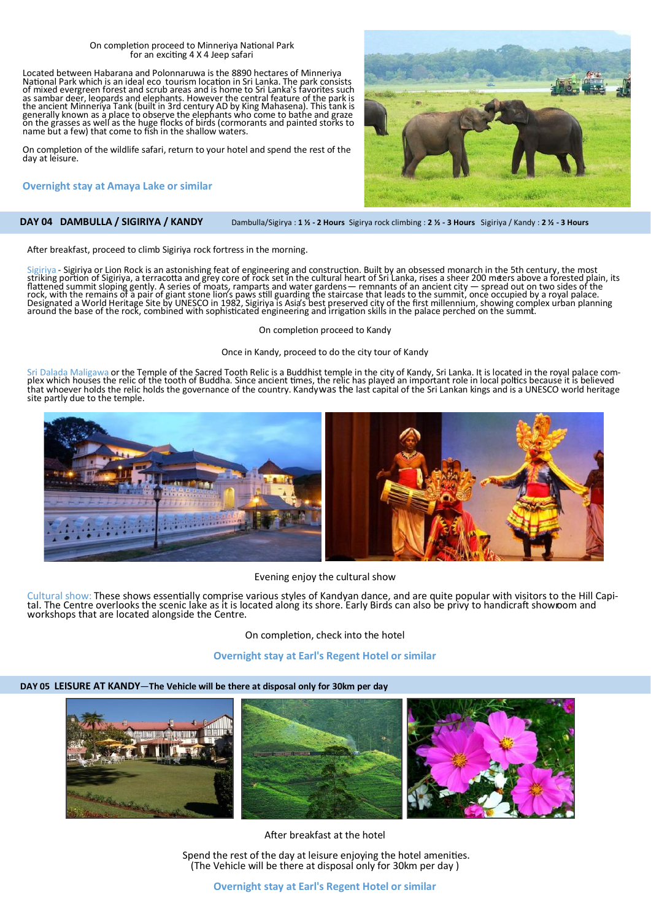#### On completion proceed to Minneriya National Park for an exciting 4 X 4 Jeep safari

Located between Habarana and Polonnaruwa is the 8890 hectares of Minneriya National Park which is an ideal eco tourism location in Sri Lanka. The park consists of mixed evergreen forest and scrub areas and is home to Sri Lanka's favorites such as sambar deer, leopards and elephants. However the central feature of the park is the ancient Minneriya Tank (built in 3rd century AD by King Mahasena). This tank is<br>generally known as a place to observe the elephants who come to bathe and graze<br>on the grasses as well as the huge flocks of birds (cormor

On completion of the wildlife safari, return to your hotel and spend the rest of the day at leisure.

#### **[Overnight](http://citrusleisure.com/waskaduwa/) stay at Amaya Lake or similar**

 **DAY 04 DAMBULLA / SIGIRIYA / KANDY** Dambulla/Sigirya : **1 ½ - 2 Hours** Sigirya rock climbing : **2 ½ - 3 Hours** Sigiriya / Kandy : **2 ½ - 3 Hours**

After breakfast, proceed to climb Sigiriya rock fortress in the morning.

Sigiriya - Sigiriya or Lion Rock is an astonishing feat of engineering and construction. Built by an obsessed monarch in the 5th century, the most striking portion of Sigiriya, a terracotta and grey core of rock set in the cultural heart of Sri Lanka, rises a sheer 200 meers above a forested plain, its<br>flattened summit sloping gently. A series of moats, ramparts and

On completion proceed to Kandy

Once in Kandy, proceed to do the city tour of Kandy

Sri Dalada Maligawa or the Temple of the Sacred Tooth Relic is a Buddhist temple in the city of Kandy, Sri Lanka. It is located in the royal palace com-<br>plex which houses the relic of the tooth of Buddha. Since ancient tim site partly due to the temple.



Evening enjoy the cultural show

Cultural show: These shows essentially comprise various styles of Kandyan dance, and are quite popular with visitors to the Hill Capital. The Centre overlooks the scenic lake as it is located along its shore. Early Birds can also be privy to handicraft showroom and workshops that are located alongside the Centre.

On completion, check into the hotel

#### **[Overnight](http://citrusleisure.com/waskaduwa/) stay at Earl's Regent Hotel or similar**

#### **DAY 05 LEISURE AT KANDY**—**The Vehicle will be there at disposal only for 30km per day**



After breakfast at the hotel

Spend the rest of the day at leisure enjoying the hotel amenities. (The Vehicle will be there at disposal only for 30km per day )

**[Overnight](http://citrusleisure.com/waskaduwa/) stay at Earl's Regent Hotel or similar** 

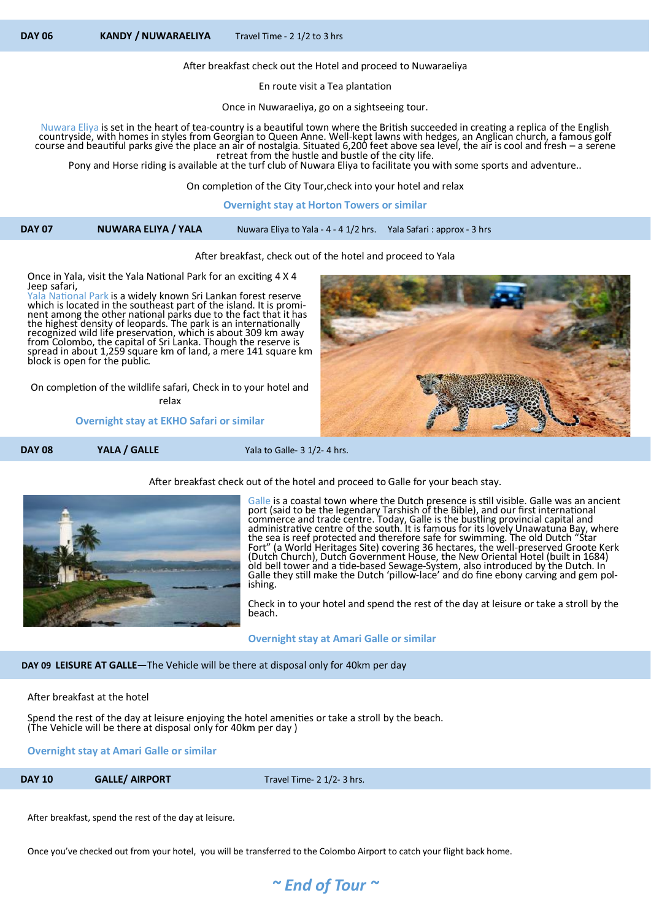After breakfast check out the Hotel and proceed to Nuwaraeliya

En route visit a Tea plantation

Once in Nuwaraeliya, go on a sightseeing tour.

Nuwara Eliya is set in the heart of tea-country is a beautiful town where the British succeeded in creating a replica of the English countryside, with homes in styles from Georgian to Queen Anne. Well-kept lawns with hedges, an Anglican church, a famous golf course and beautiful parks give the place an air of nostalgia. Situated 6,200 feet above sea level, the air is cool and fresh – a serene retreat from the hustle and bustle of the city life.

Pony and Horse riding is available at the turf club of Nuwara Eliya to facilitate you with some sports and adventure..

On completion of the City Tour,check into your hotel and relax

**[Overnight](http://citrusleisure.com/waskaduwa/) stay at Horton Towers or similar**

#### After breakfast, check out of the hotel and proceed to Yala

Once in Yala, visit the Yala National Park for an exciting 4 X 4 Jeep safari,

National Park is a widely known Sri Lankan forest reserve which is located in the southeast part of the island. It is prominent among the other national parks due to the fact that it has the highest density of leopards. The park is an internationally recognized wild life preservation, which is about 309 km away from Colombo, the capital of Sri Lanka. Though the reserve is spread in about 1,259 square km of land, a mere 141 square km block is open for the public.

On completion of the wildlife safari, Check in to your hotel and relax

**Overnight stay at EKHO Safari or similar**





After breakfast check out of the hotel and proceed to Galle for your beach stay.

Galle is a coastal town where the Dutch presence is still visible. Galle was an ancient port (said to be the legendary Tarshish of the Bible), and our first international commerce and trade centre. Today, Galle is the bustling provincial capital and administrative centre of the south. It is famous for its lovely Unawatuna Bay, where the sea is reef protected and therefore safe for swimming. The old Dutch "Star Fort" (a World Heritages Site) covering 36 hectares, the well-preserved Groote Kerk (Dutch Church), Dutch Government House, the New Oriental Hotel (built in 1684) old bell tower and a tide-based Sewage-System, also introduced by the Dutch. In Galle they still make the Dutch 'pillow-lace' and do fine ebony carving and gem polishing.

Check in to your hotel and spend the rest of the day at leisure or take a stroll by the beach.

 **Overnight stay at Amari Galle or similar**

#### **DAY 09 LEISURE AT GALLE—**The Vehicle will be there at disposal only for 40km per day

After breakfast at the hotel

Spend the rest of the day at leisure enjoying the hotel amenities or take a stroll by the beach. (The Vehicle will be there at disposal only for 40km per day )

**Overnight stay at Amari Galle or similar**

**DAY 10 GALLE/ AIRPORT Travel Time- 2 1/2- 3 hrs.** 

After breakfast, spend the rest of the day at leisure.

Once you've checked out from your hotel, you will be transferred to the Colombo Airport to catch your flight back home.